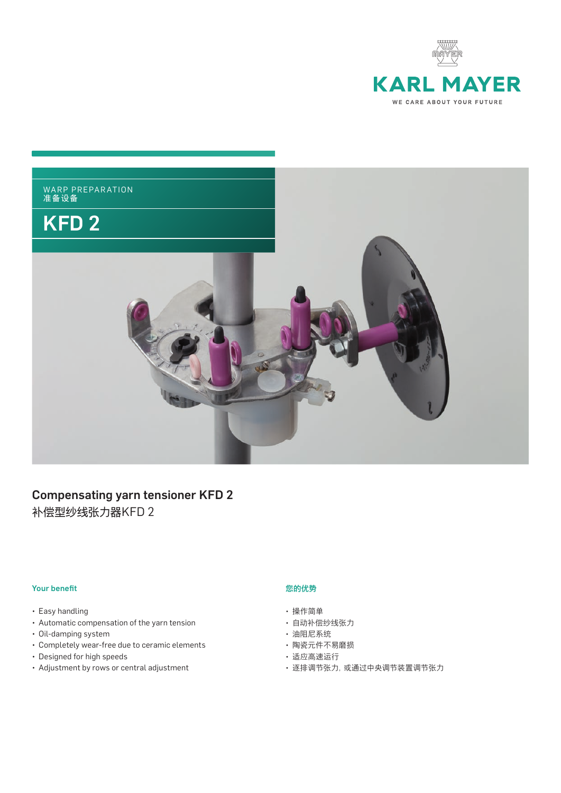



# Compensating yarn tensioner KFD 2

补偿型纱线张力器KFD 2

### **Your benefit**

- Easy handling
- • Automatic compensation of the yarn tension
- • Oil-damping system
- • Completely wear-free due to ceramic elements
- • Designed for high speeds
- • Adjustment by rows or central adjustment

#### 您的优势

- 操作简单
- 自动补偿纱线张力
- 油阻尼系统
- 陶瓷元件不易磨损
- 适应高速运行
- 逐排调节张力,或通过中央调节装置调节张力